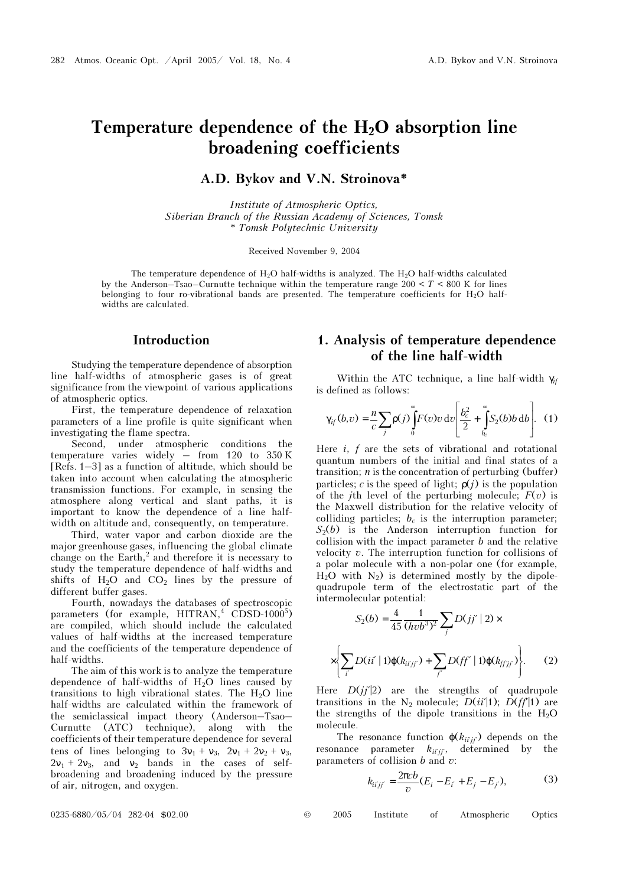# Temperature dependence of the  $H_2O$  absorption line broadening coefficients

A.D. Bykov and V.N. Stroinova\*

Institute of Atmospheric Optics, Siberian Branch of the Russian Academy of Sciences, Tomsk \* Tomsk Polytechnic University

Received November 9, 2004

The temperature dependence of  $H_2O$  half-widths is analyzed. The  $H_2O$  half-widths calculated by the Anderson–Tsao–Curnutte technique within the temperature range  $200 < T < 800$  K for lines belonging to four ro-vibrational bands are presented. The temperature coefficients for  $H_2O$  halfwidths are calculated.

### Introduction

Studying the temperature dependence of absorption line half-widths of atmospheric gases is of great significance from the viewpoint of various applications of atmospheric optics.

First, the temperature dependence of relaxation parameters of a line profile is quite significant when investigating the flame spectra.

Second, under atmospheric conditions the temperature varies widely – from 120 to 350 K [Refs. 1–3] as a function of altitude, which should be taken into account when calculating the atmospheric transmission functions. For example, in sensing the atmosphere along vertical and slant paths, it is important to know the dependence of a line halfwidth on altitude and, consequently, on temperature.

Third, water vapor and carbon dioxide are the major greenhouse gases, influencing the global climate change on the Earth,<sup>2</sup> and therefore it is necessary to study the temperature dependence of half-widths and shifts of  $H_2O$  and  $CO_2$  lines by the pressure of different buffer gases.

Fourth, nowadays the databases of spectroscopic parameters (for example, HITRAN,<sup>4</sup> CDSD-1000<sup>5</sup>) are compiled, which should include the calculated values of half-widths at the increased temperature and the coefficients of the temperature dependence of half-widths.

The aim of this work is to analyze the temperature dependence of half-widths of  $H_2O$  lines caused by transitions to high vibrational states. The  $H_2O$  line half-widths are calculated within the framework of the semiclassical impact theory (Anderson–Tsao– Curnutte (ATC) technique), along with the coefficients of their temperature dependence for several tens of lines belonging to  $3v_1 + v_3$ ,  $2v_1 + 2v_2 + v_3$ ,  $2v_1 + 2v_3$ , and  $v_2$  bands in the cases of selfbroadening and broadening induced by the pressure of air, nitrogen, and oxygen.

## 1. Analysis of temperature dependence of the line half-width

Within the ATC technique, a line half-width  $\gamma_{if}$ is defined as follows:

$$
\gamma_{if}(b,v) = \frac{n}{c} \sum_{j} \rho(j) \int_{0}^{\infty} F(v)v \, dv \left[ \frac{b_c^2}{2} + \int_{b_c}^{\infty} S_2(b)b \, db \right]. \tag{1}
$$

Here  $i, f$  are the sets of vibrational and rotational quantum numbers of the initial and final states of a transition;  $n$  is the concentration of perturbing (buffer) particles; c is the speed of light;  $\rho(j)$  is the population of the *j*th level of the perturbing molecule;  $F(v)$  is the Maxwell distribution for the relative velocity of colliding particles;  $b_c$  is the interruption parameter;  $S_2(b)$  is the Anderson interruption function for collision with the impact parameter  $b$  and the relative velocity v. The interruption function for collisions of a polar molecule with a non-polar one (for example,  $H<sub>2</sub>O$  with  $N<sub>2</sub>$ ) is determined mostly by the dipolequadrupole term of the electrostatic part of the intermolecular potential:

$$
S_2(b) = \frac{4}{45} \frac{1}{(h\upsilon b^3)^2} \sum_j D(jj' | 2) \times
$$

$$
\times \left\{ \sum_{i'} D(ii' | 1) \varphi(k_{ii'jj'}) + \sum_{j'} D(fj' | 1) \varphi(k_{jj'j'}) \right\}.
$$
 (2)

Here  $D(jj'|2)$  are the strengths of quadrupole transitions in the N<sub>2</sub> molecule;  $D(ii'|1)$ ;  $D(ff'|1)$  are the strengths of the dipole transitions in the  $H_2O$ molecule.

The resonance function  $\varphi(k_{ii'ii'})$  depends on the resonance parameter  $k_{ii'jj'}$ , determined by the parameters of collision  $b$  and  $v$ :

$$
k_{i'jj'} = \frac{2\pi cb}{v}(E_i - E_{i'} + E_j - E_{j'}),
$$
 (3)

0235-6880/05/04 282-04 \$02.00 © 2005 Institute of Atmospheric Optics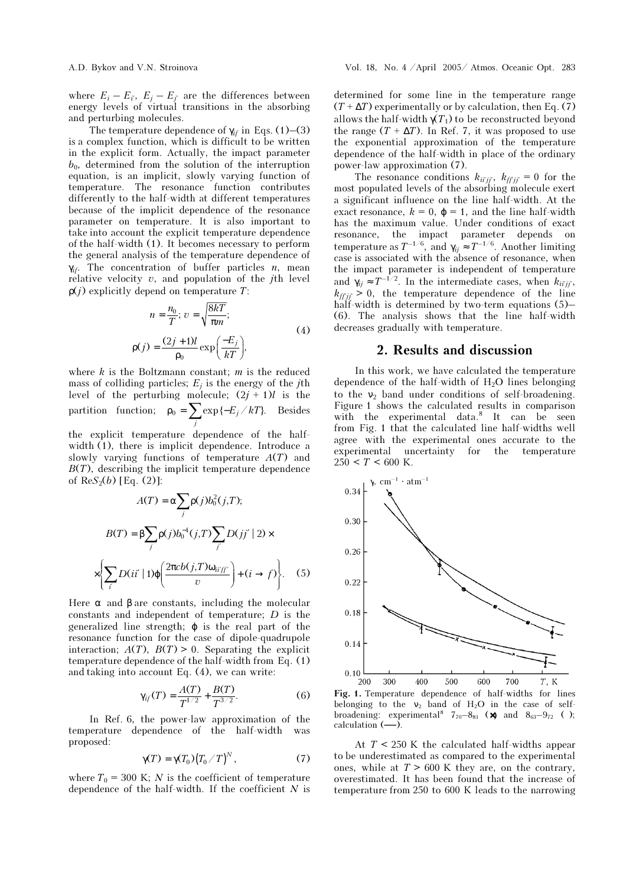where  $E_i - E_{i'}$ ,  $E_j - E_{j'}$  are the differences between energy levels of virtual transitions in the absorbing and perturbing molecules.

The temperature dependence of  $\gamma_{if}$  in Eqs. (1)–(3) is a complex function, which is difficult to be written in the explicit form. Actually, the impact parameter  $b_0$ , determined from the solution of the interruption equation, is an implicit, slowly varying function of temperature. The resonance function contributes differently to the half-width at different temperatures because of the implicit dependence of the resonance parameter on temperature. It is also important to take into account the explicit temperature dependence of the half-width (1). It becomes necessary to perform the general analysis of the temperature dependence of  $\gamma_{if}$ . The concentration of buffer particles *n*, mean relative velocity  $v$ , and population of the *j*th level  $\rho(j)$  explicitly depend on temperature T:

$$
n = \frac{n_0}{T}; v = \sqrt{\frac{8kT}{\pi m}};
$$
  
\n
$$
\rho(j) = \frac{(2j+1)l}{\rho_0} \exp\left(\frac{-E_j}{kT}\right),
$$
\n(4)

where  $k$  is the Boltzmann constant;  $m$  is the reduced mass of colliding particles;  $E_i$  is the energy of the *j*th level of the perturbing molecule;  $(2j + 1)l$  is the partition function;  $\rho_0 = \sum \exp \{-E_j / kT\}.$  $\rho_0 = \sum_j \exp\{-E_j / kT\}$ . Besides

the explicit temperature dependence of the halfwidth  $(1)$ , there is implicit dependence. Introduce a slowly varying functions of temperature  $A(T)$  and  $B(T)$ , describing the implicit temperature dependence of  $\text{Re}S_2(b)$  [Eq. (2)]:

$$
A(T) = \alpha \sum_{j} \rho(j) b_0^2(j, T);
$$
  
\n
$$
B(T) = \beta \sum_{j} \rho(j) b_0^{-4}(j, T) \sum_{j'} D(jj' | 2) \times
$$
  
\n
$$
\times \left\{ \sum_{i'} D(ii' | 1) \varphi \left( \frac{2\pi c b(j, T) \omega_{ii'ff'}}{v} \right) + (i \to f) \right\}.
$$
 (5)

Here  $\alpha$  and  $\beta$  are constants, including the molecular constants and independent of temperature; D is the generalized line strength;  $\varphi$  is the real part of the resonance function for the case of dipole-quadrupole interaction;  $A(T)$ ,  $B(T) > 0$ . Separating the explicit temperature dependence of the half-width from Eq. (1) and taking into account Eq. (4), we can write:

$$
\gamma_{if}(T) = \frac{A(T)}{T^{1/2}} + \frac{B(T)}{T^{3/2}}.\tag{6}
$$

In Ref. 6, the power-law approximation of the temperature dependence of the half-width was proposed:

$$
\gamma(T) = \gamma(T_0) (T_0/T)^N, \qquad (7)
$$

where  $T_0 = 300$  K; N is the coefficient of temperature dependence of the half-width. If the coefficient  $N$  is determined for some line in the temperature range  $(T + \Delta T)$  experimentally or by calculation, then Eq. (7) allows the half-width  $\gamma(T_1)$  to be reconstructed beyond the range  $(T + \Delta T)$ . In Ref. 7, it was proposed to use the exponential approximation of the temperature dependence of the half-width in place of the ordinary power-law approximation (7).

The resonance conditions  $k_{ii'jj'}$ ,  $k_{ff'jj'} = 0$  for the most populated levels of the absorbing molecule exert a significant influence on the line half-width. At the exact resonance,  $k = 0$ ,  $\varphi = 1$ , and the line half-width has the maximum value. Under conditions of exact resonance, the impact parameter depends on temperature as  $T^{-1/6}$ , and  $\gamma_{ij} \approx T^{-1/6}$ . Another limiting case is associated with the absence of resonance, when the impact parameter is independent of temperature and  $\gamma_{ij} \approx T^{-1/2}$ . In the intermediate cases, when  $k_{ii'jj'}$ ,  $k_{ffjj'} > 0$ , the temperature dependence of the line half-width is determined by two-term equations (5)– (6). The analysis shows that the line half-width decreases gradually with temperature.

#### 2. Results and discussion

In this work, we have calculated the temperature dependence of the half-width of  $H_2O$  lines belonging to the  $v_2$  band under conditions of self-broadening. Figure 1 shows the calculated results in comparison with the experimental data.<sup>8</sup> It can be seen from Fig. 1 that the calculated line half-widths well agree with the experimental ones accurate to the experimental uncertainty for the temperature  $250 < T < 600$  K.



Fig. 1. Temperature dependence of half-widths for lines belonging to the  $v_2$  band of  $H_2O$  in the case of selfbroadening: experimental<sup>8</sup>  $7_{70}-8_{81}$  ( $\times$ ) and  $8_{63}-9_{72}$  ( $\times$ );  $calculation$  (—).

At  $T \leq 250$  K the calculated half-widths appear to be underestimated as compared to the experimental ones, while at  $T > 600$  K they are, on the contrary, overestimated. It has been found that the increase of temperature from 250 to 600 K leads to the narrowing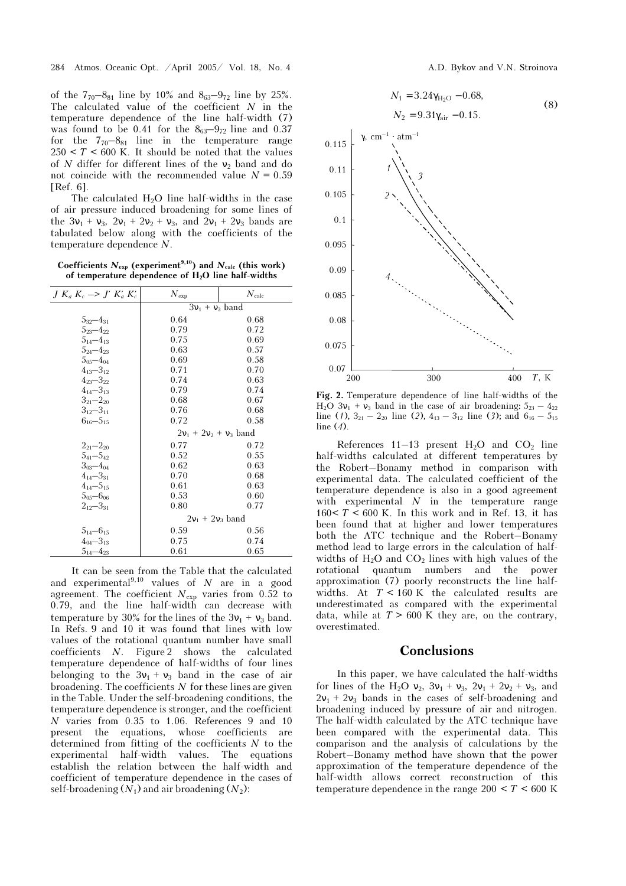of the  $7_{70}-8_{81}$  line by 10% and  $8_{63}-9_{72}$  line by 25%. The calculated value of the coefficient  $N$  in the temperature dependence of the line half-width (7) was found to be 0.41 for the  $8<sub>63</sub>-9<sub>72</sub>$  line and 0.37 for the  $7_{70}-8_{81}$  line in the temperature range  $250 < T < 600$  K. It should be noted that the values of N differ for different lines of the  $v_2$  band and do not coincide with the recommended value  $N = 0.59$ [Ref. 6].

The calculated  $H_2O$  line half-widths in the case of air pressure induced broadening for some lines of the  $3v_1 + v_3$ ,  $2v_1 + 2v_2 + v_3$ , and  $2v_1 + 2v_3$  bands are tabulated below along with the coefficients of the temperature dependence N.

Coefficients  $N_{\text{exp}}$  (experiment<sup>9,10</sup>) and  $N_{\text{calc}}$  (this work) of temperature dependence of  $H_2O$  line half-widths

| $J K_a K_c \rightarrow J' K'_a K'_c$ | $N_{\rm exp}$            | $N_{\rm calc}$ |
|--------------------------------------|--------------------------|----------------|
|                                      | $3v_1 + v_3$ band        |                |
| $5_{32} - 4_{31}$                    | 0.64                     | 0.68           |
| $5_{23} - 4_{22}$                    | 0.79                     | 0.72           |
| $5_{14} - 4_{13}$                    | 0.75                     | 0.69           |
| $5_{24} - 4_{23}$                    | 0.63                     | 0.57           |
| $5_{05} - 4_{04}$                    | 0.69                     | 0.58           |
| $4_{13} - 3_{12}$                    | 0.71                     | 0.70           |
| $423 - 322$                          | 0.74                     | 0.63           |
| $4_{14} - 3_{13}$                    | 0.79                     | 0.74           |
| $3_{21}-2_{20}$                      | 0.68                     | 0.67           |
| $3_{12} - 3_{11}$                    | 0.76                     | 0.68           |
| $6_{16} - 5_{15}$                    | 0.72                     | 0.58           |
|                                      | $2v_1 + 2v_2 + v_3$ band |                |
| $2_{21} - 2_{20}$                    | 0.77                     | 0.72           |
| $5_{41} - 5_{42}$                    | 0.52                     | 0.55           |
| $3_{03} - 4_{04}$                    | 0.62                     | 0.63           |
| $4_{14} - 3_{31}$                    | 0.70                     | 0.68           |
| $4_{14} - 5_{15}$                    | 0.61                     | 0.63           |
| $5_{05} - 6_{06}$                    | 0.53                     | 0.60           |
| $2_{12} - 3_{31}$                    | 0.80                     | 0.77           |
|                                      | $2v_1 + 2v_3$ band       |                |
| $5_{14} - 6_{15}$                    | 0.59                     | 0.56           |
| $4_{04} - 3_{13}$                    | 0.75                     | 0.74           |
| $5_{14} - 4_{23}$                    | 0.61                     | 0.65           |

It can be seen from the Table that the calculated and experimental<sup>9,10</sup> values of N are in a good agreement. The coefficient  $N_{\rm exp}$  varies from 0.52 to 0.79, and the line half-width can decrease with temperature by 30% for the lines of the  $3v_1 + v_3$  band. In Refs. 9 and 10 it was found that lines with low values of the rotational quantum number have small coefficients N. Figure 2 shows the calculated temperature dependence of half-widths of four lines belonging to the  $3v_1 + v_3$  band in the case of air broadening. The coefficients  $N$  for these lines are given in the Table. Under the self-broadening conditions, the temperature dependence is stronger, and the coefficient N varies from 0.35 to 1.06. References 9 and 10 present the equations, whose coefficients are determined from fitting of the coefficients  $N$  to the experimental half-width values. The equations establish the relation between the half-width and coefficient of temperature dependence in the cases of self-broadening  $(N_1)$  and air broadening  $(N_2)$ :

$$
N_1 = 3.24\gamma_{\text{H}_2\text{O}} - 0.68,
$$
  
\n
$$
N_2 = 9.31\gamma_{\text{air}} - 0.15.
$$
 (8)



Fig. 2. Temperature dependence of line half-widths of the H<sub>2</sub>O  $3v_1 + v_3$  band in the case of air broadening:  $5_{23} - 4_{22}$ line (1),  $3_{21} - 2_{20}$  line (2),  $4_{13} - 3_{12}$  line (3); and  $6_{16} - 5_{15}$ line  $(4)$ .

References  $11-13$  present  $H_2O$  and  $CO_2$  line half-widths calculated at different temperatures by the Robert–Bonamy method in comparison with experimental data. The calculated coefficient of the temperature dependence is also in a good agreement with experimental  $N$  in the temperature range 160<  $T < 600$  K. In this work and in Ref. 13, it has been found that at higher and lower temperatures both the ATC technique and the Robert–Bonamy method lead to large errors in the calculation of halfwidths of  $H_2O$  and  $CO_2$  lines with high values of the rotational quantum numbers and the power approximation (7) poorly reconstructs the line halfwidths. At  $T < 160$  K the calculated results are underestimated as compared with the experimental data, while at  $T > 600$  K they are, on the contrary, overestimated.

#### **Conclusions**

In this paper, we have calculated the half-widths for lines of the H<sub>2</sub>O  $v_2$ ,  $3v_1 + v_3$ ,  $2v_1 + 2v_2 + v_3$ , and  $2v_1 + 2v_3$  bands in the cases of self-broadening and broadening induced by pressure of air and nitrogen. The half-width calculated by the ATC technique have been compared with the experimental data. This comparison and the analysis of calculations by the Robert–Bonamy method have shown that the power approximation of the temperature dependence of the half-width allows correct reconstruction of this temperature dependence in the range  $200 \le T \le 600$  K